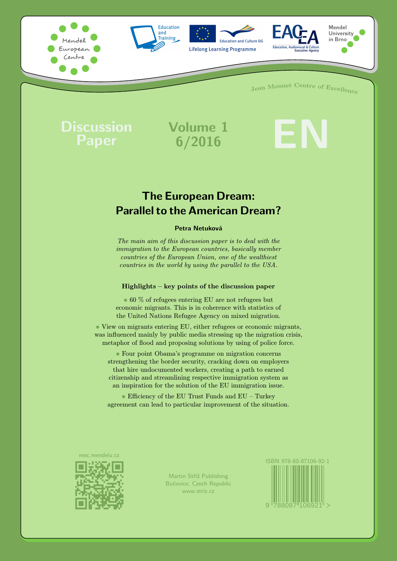





**Lifelong Learning Programme** 





<sup>J</sup>ea<sup>n</sup> <sup>M</sup>onne<sup>t</sup> <sup>C</sup><sup>e</sup>ntr<sup>e</sup> <sup>o</sup><sup>f</sup> <sup>E</sup><sup>x</sup>cellenc<sup>e</sup>

# Discussion Volume 1<br>
Paper 6/2016 Paper

# The European Dream: Parallel to the [American Dream?](http://www.jmc-berlin.org)

#### Petra Netuková

The main aim of this discussion paper is to deal with the immigration to the European countries, basically member countries of the European Union, one of the wealthiest countries in the world by using the parallel to the USA.

#### Highlights – key points of the discussion paper

• 60 % of refugees entering EU are not refugees but economic migrants. This is in coherence with statistics of the United Nations Refugee Agency on mixed migration.

• View on migrants entering EU, either refugees or economic migrants, was influenced mainly by public media stressing up the migration crisis, metaphor of flood and proposing solutions by using of police force.

• Four point Obama's programme on migration concerns strengthening the border security, cracking down on employers that hire undocumented workers, creating a path to earned citizenship and streamlining respective immigration system as an inspiration for the solution of the EU immigration issue.

• Efficiency of the EU Trust Funds and EU – Turkey agreement can lead to particular improvement of the situation.

[mec.mendelu.cz](http://mec.mendelu.cz/)



[Martin Stříž Publishing](http://www.striz.cz/en/) [Bučovice, Czech Republic](http://www.striz.cz/en/) [www.striz.cz](http://www.striz.cz/en/)

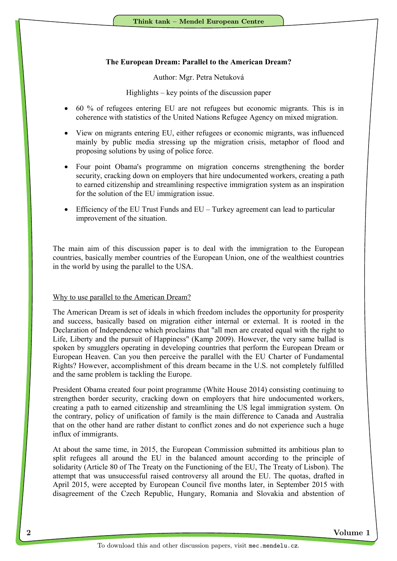#### **The European Dream: Parallel to the American Dream?**

Author: Mgr. Petra Netuková

 $High lights - key points of the discussion paper$ 

- 60 % of refugees entering EU are not refugees but economic migrants. This is in coherence with statistics of the United Nations Refugee Agency on mixed migration.
- View on migrants entering EU, either refugees or economic migrants, was influenced mainly by public media stressing up the migration crisis, metaphor of flood and proposing solutions by using of police force.
- Four point Obama's programme on migration concerns strengthening the border security, cracking down on employers that hire undocumented workers, creating a path to earned citizenship and streamlining respective immigration system as an inspiration for the solution of the EU immigration issue.
- Efficiency of the EU Trust Funds and EU Turkey agreement can lead to particular improvement of the situation.

The main aim of this discussion paper is to deal with the immigration to the European countries, basically member countries of the European Union, one of the wealthiest countries in the world by using the parallel to the USA.

#### Why to use parallel to the American Dream?

The American Dream is set of ideals in which freedom includes the opportunity for prosperity and success, basically based on migration either internal or external. It is rooted in the Declaration of Independence which proclaims that "all men are created equal with the right to Life, Liberty and the pursuit of Happiness" (Kamp 2009). However, the very same ballad is spoken by smugglers operating in developing countries that perform the European Dream or European Heaven. Can you then perceive the parallel with the EU Charter of Fundamental Rights? However, accomplishment of this dream became in the U.S. not completely fulfilled and the same problem is tackling the Europe.

President Obama created four point programme (White House 2014) consisting continuing to strengthen border security, cracking down on employers that hire undocumented workers, creating a path to earned citizenship and streamlining the US legal immigration system. On the contrary, policy of unification of family is the main difference to Canada and Australia that on the other hand are rather distant to conflict zones and do not experience such a huge influx of immigrants.

At about the same time, in 2015, the European Commission submitted its ambitious plan to split refugees all around the EU in the balanced amount according to the principle of solidarity (Article 80 of The Treaty on the Functioning of the EU, The Treaty of Lisbon). The attempt that was unsuccessful raised controversy all around the EU. The quotas, drafted in April 2015, were accepted by European Council five months later, in September 2015 with disagreement of the Czech Republic, Hungary, Romania and Slovakia and abstention of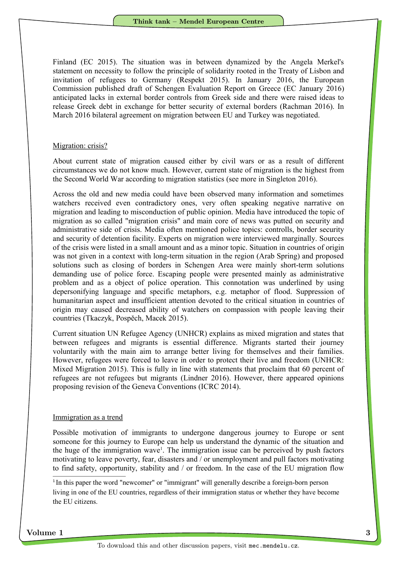Finland (EC 2015). The situation was in between dynamized by the Angela Merkel's statement on necessity to follow the principle of solidarity rooted in the Treaty of Lisbon and invitation of refugees to Germany (Respekt 2015). In January 2016, the European Commission published draft of Schengen Evaluation Report on Greece (EC January 2016) anticipated lacks in external border controls from Greek side and there were raised ideas to release Greek debt in exchange for better security of external borders (Rachman 2016). In March 2016 bilateral agreement on migration between EU and Turkey was negotiated.

#### Migration: crisis?

About current state of migration caused either by civil wars or as a result of different circumstances we do not know much. However, current state of migration is the highest from the Second World War according to migration statistics (see more in Singleton 2016).

Across the old and new media could have been observed many information and sometimes watchers received even contradictory ones, very often speaking negative narrative on migration and leading to misconduction of public opinion. Media have introduced the topic of migration as so called "migration crisis" and main core of news was putted on security and administrative side of crisis. Media often mentioned police topics: controlls, border security and security of detention facility. Experts on migration were interviewed marginally. Sources of the crisis were listed in a small amount and as a minor topic. Situation in countries of origin was not given in a context with long-term situation in the region (Arab Spring) and proposed solutions such as closing of borders in Schengen Area were mainly short-term solutions demanding use of police force. Escaping people were presented mainly as administrative problem and as a object of police operation. This connotation was underlined by using depersonifying language and specific metaphors, e.g. metaphor of flood. Suppression of humanitarian aspect and insufficient attention devoted to the critical situation in countries of origin may caused decreased ability of watchers on compassion with people leaving their countries (Tkaczyk, Pospěch, Macek 2015).

Current situation UN Refugee Agency (UNHCR) explains as mixed migration and states that between refugees and migrants is essential difference. Migrants started their journey voluntarily with the main aim to arrange better living for themselves and their families. However, refugees were forced to leave in order to protect their live and freedom (UNHCR: Mixed Migration 2015). This is fully in line with statements that proclaim that 60 percent of refugees are not refugees but migrants (Lindner 2016). However, there appeared opinions proposing revision of the Geneva Conventions (ICRC 2014).

#### Immigration as a trend

Possible motivation of immigrants to undergone dangerous journey to Europe or sent someone for this journey to Europe can help us understand the dynamic of the situation and the huge of the immigration wave<sup>1</sup>. The immigration issue can be perceived by push factors motivating to leave poverty, fear, disasters and / or unemployment and pull factors motivating to find safety, opportunity, stability and / or freedom. In the case of the EU migration flow

 $\frac{1}{3}$ 

<sup>&</sup>lt;sup>1</sup> In this paper the word "newcomer" or "immigrant" will generally describe a foreign-born person living in one of the EU countries, regardless of their immigration status or whether they have become the EU citizens.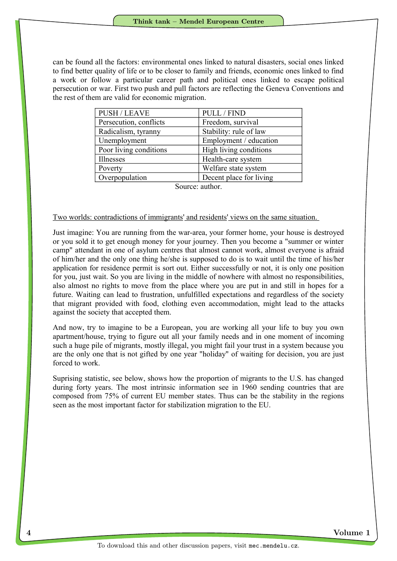can be found all the factors: environmental ones linked to natural disasters, social ones linked to find better quality of life or to be closer to family and friends, economic ones linked to find a work or follow a particular career path and political ones linked to escape political persecution or war. First two push and pull factors are reflecting the Geneva Conventions and the rest of them are valid for economic migration.

| <b>PUSH / LEAVE</b>    | PULL / FIND             |  |
|------------------------|-------------------------|--|
| Persecution, conflicts | Freedom, survival       |  |
| Radicalism, tyranny    | Stability: rule of law  |  |
| Unemployment           | Employment / education  |  |
| Poor living conditions | High living conditions  |  |
| Illnesses              | Health-care system      |  |
| Poverty                | Welfare state system    |  |
| Overpopulation         | Decent place for living |  |
| $\sim$<br>$\cdot$ 1.   |                         |  |

Source: author.

### Two worlds: contradictions of immigrants' and residents' views on the same situation.

Just imagine: You are running from the war-area, your former home, your house is destroyed or you sold it to get enough money for your journey. Then you become a "summer or winter camp" attendant in one of asylum centres that almost cannot work, almost everyone is afraid of him/her and the only one thing he/she is supposed to do is to wait until the time of his/her application for residence permit is sort out. Either successfully or not, it is only one position for you, just wait. So you are living in the middle of nowhere with almost no responsibilities, also almost no rights to move from the place where you are put in and still in hopes for a future. Waiting can lead to frustration, unfulfilled expectations and regardless of the society that migrant provided with food, clothing even accommodation, might lead to the attacks against the society that accepted them.

And now, try to imagine to be a European, you are working all your life to buy you own apartment/house, trying to figure out all your family needs and in one moment of incoming such a huge pile of migrants, mostly illegal, you might fail your trust in a system because you are the only one that is not gifted by one year "holiday" of waiting for decision, you are just forced to work.

Suprising statistic, see below, shows how the proportion of migrants to the U.S. has changed during forty years. The most intrinsic information see in 1960 sending countries that are composed from 75% of current EU member states. Thus can be the stability in the regions seen as the most important factor for stabilization migration to the EU.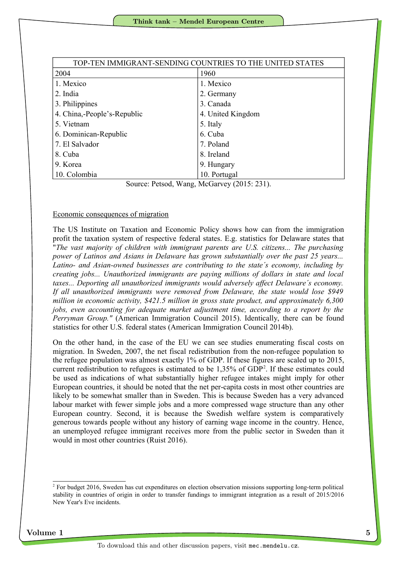| TOP-TEN IMMIGRANT-SENDING COUNTRIES TO THE UNITED STATES |                   |  |
|----------------------------------------------------------|-------------------|--|
| 2004                                                     | 1960              |  |
| 1. Mexico                                                | 1. Mexico         |  |
| 2. India                                                 | 2. Germany        |  |
| 3. Philippines                                           | 3. Canada         |  |
| 4. China,-People's-Republic                              | 4. United Kingdom |  |
| 5. Vietnam                                               | 5. Italy          |  |
| 6. Dominican-Republic                                    | 6. Cuba           |  |
| 7. El Salvador                                           | 7. Poland         |  |
| 8. Cuba                                                  | 8. Ireland        |  |
| 9. Korea                                                 | 9. Hungary        |  |
| 10. Colombia                                             | 10. Portugal      |  |

Source: Petsod, Wang, McGarvey (2015: 231).

#### Economic consequences of migration

The US Institute on Taxation and Economic Policy shows how can from the immigration profit the taxation system of respective federal states. E.g. statistics for Delaware states that "*The vast majority of children with immigrant parents are U.S. citizens... The purchasing power of Latinos and Asians in Delaware has grown substantially over the past 25 years... Latino- and Asian-owned businesses are contributing to the state´s economy, including by creating jobs... Unauthorized immigrants are paying millions of dollars in state and local taxes... Deporting all unauthorized immigrants would adversely affect Delaware´s economy. If all unauthorized immigrants were removed from Delaware, the state would lose \$949 million in economic activity, \$421.5 million in gross state product, and approximately 6,300 jobs, even accounting for adequate market adjustment time, according to a report by the Perryman Group."* (American Immigration Council 2015). Identically, there can be found statistics for other U.S. federal states (American Immigration Council 2014b).

On the other hand, in the case of the EU we can see studies enumerating fiscal costs on migration. In Sweden, 2007, the net fiscal redistribution from the non-refugee population to the refugee population was almost exactly 1% of GDP. If these figures are scaled up to 2015, current redistribution to refugees is estimated to be  $1,35\%$  of GDP<sup>2</sup>. If these estimates could be used as indications of what substantially higher refugee intakes might imply for other European countries, it should be noted that the net per-capita costs in most other countries are likely to be somewhat smaller than in Sweden. This is because Sweden has a very advanced labour market with fewer simple jobs and a more compressed wage structure than any other European country. Second, it is because the Swedish welfare system is comparatively generous towards people without any history of earning wage income in the country. Hence, an unemployed refugee immigrant receives more from the public sector in Sweden than it would in most other countries (Ruist 2016).

 $\frac{1}{5}$ 

<sup>&</sup>lt;sup>2</sup> For budget 2016, Sweden has cut expenditures on election observation missions supporting long-term political stability in countries of origin in order to transfer fundings to immigrant integration as a result of 2015/2016 New Year's Eve incidents.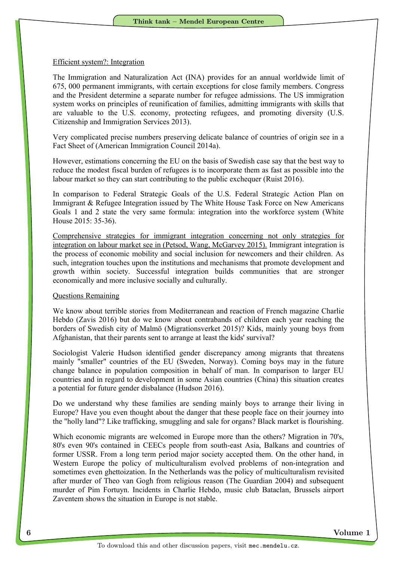#### Efficient system?: Integration

The Immigration and Naturalization Act (INA) provides for an annual worldwide limit of 675, 000 permanent immigrants, with certain exceptions for close family members. Congress and the President determine a separate number for refugee admissions. The US immigration system works on principles of reunification of families, admitting immigrants with skills that are valuable to the U.S. economy, protecting refugees, and promoting diversity (U.S. Citizenship and Immigration Services 2013).

Very complicated precise numbers preserving delicate balance of countries of origin see in a Fact Sheet of (American Immigration Council 2014a).

However, estimations concerning the EU on the basis of Swedish case say that the best way to reduce the modest fiscal burden of refugees is to incorporate them as fast as possible into the labour market so they can start contributing to the public exchequer (Ruist 2016).

In comparison to Federal Strategic Goals of the U.S. Federal Strategic Action Plan on Immigrant & Refugee Integration issued by The White House Task Force on New Americans Goals 1 and 2 state the very same formula: integration into the workforce system (White House 2015: 35-36).

Comprehensive strategies for immigrant integration concerning not only strategies for integration on labour market see in (Petsod, Wang, McGarvey 2015). Immigrant integration is the process of economic mobility and social inclusion for newcomers and their children. As such, integration touches upon the institutions and mechanisms that promote development and growth within society. Successful integration builds communities that are stronger economically and more inclusive socially and culturally.

#### Questions Remaining

We know about terrible stories from Mediterranean and reaction of French magazine Charlie Hebdo (Zavis 2016) but do we know about contrabands of children each year reaching the borders of Swedish city of Malmö (Migrationsverket 2015)? Kids, mainly young boys from Afghanistan, that their parents sent to arrange at least the kids' survival?

Sociologist Valerie Hudson identified gender discrepancy among migrants that threatens mainly "smaller" countries of the EU (Sweden, Norway). Coming boys may in the future change balance in population composition in behalf of man. In comparison to larger EU countries and in regard to development in some Asian countries (China) this situation creates a potential for future gender disbalance (Hudson 2016).

Do we understand why these families are sending mainly boys to arrange their living in Europe? Have you even thought about the danger that these people face on their journey into the "holly land"? Like trafficking, smuggling and sale for organs? Black market is flourishing.

Which economic migrants are welcomed in Europe more than the others? Migration in 70's, 80's even 90's contained in CEECs people from south-east Asia, Balkans and countries of former USSR. From a long term period major society accepted them. On the other hand, in Western Europe the policy of multiculturalism evolved problems of non-integration and sometimes even ghettoization. In the Netherlands was the policy of multiculturalism revisited after murder of Theo van Gogh from religious reason (The Guardian 2004) and subsequent murder of Pim Fortuyn. Incidents in Charlie Hebdo, music club Bataclan, Brussels airport Zaventem shows the situation in Europe is not stable.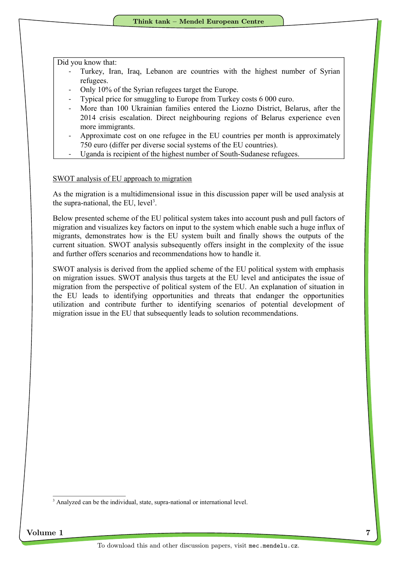Did you know that:

- Turkey, Iran, Iraq, Lebanon are countries with the highest number of Syrian refugees.
- Only 10% of the Syrian refugees target the Europe.
- Typical price for smuggling to Europe from Turkey costs 6 000 euro.
- More than 100 Ukrainian families entered the Liozno District, Belarus, after the 2014 crisis escalation. Direct neighbouring regions of Belarus experience even more immigrants.
- Approximate cost on one refugee in the EU countries per month is approximately 750 euro (differ per diverse social systems of the EU countries).
- Uganda is recipient of the highest number of South-Sudanese refugees.

#### SWOT analysis of EU approach to migration

As the migration is a multidimensional issue in this discussion paper will be used analysis at the supra-national, the EU, level<sup>3</sup>.

Below presented scheme of the EU political system takes into account push and pull factors of migration and visualizes key factors on input to the system which enable such a huge influx of migrants, demonstrates how is the EU system built and finally shows the outputs of the current situation. SWOT analysis subsequently offers insight in the complexity of the issue and further offers scenarios and recommendations how to handle it.

SWOT analysis is derived from the applied scheme of the EU political system with emphasis on migration issues. SWOT analysis thus targets at the EU level and anticipates the issue of migration from the perspective of political system of the EU. An explanation of situation in the EU leads to identifying opportunities and threats that endanger the opportunities utilization and contribute further to identifying scenarios of potential development of migration issue in the EU that subsequently leads to solution recommendations.

<sup>&</sup>lt;sup>3</sup> Analyzed can be the individual, state, supra-national or international level.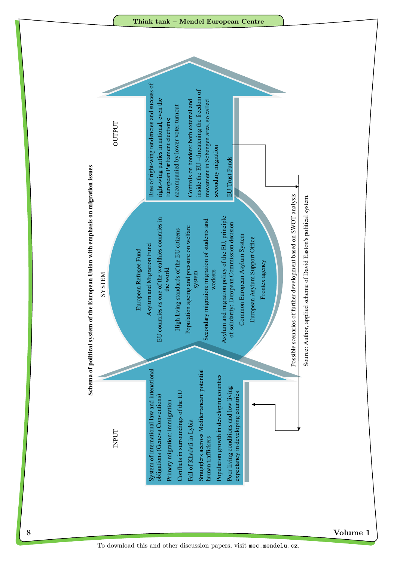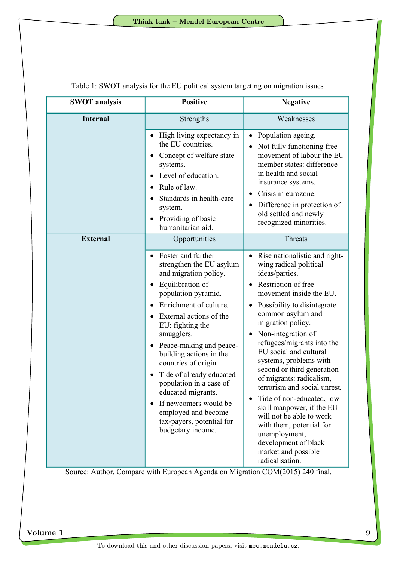| <b>SWOT</b> analysis | <b>Positive</b>                                                                                                                                                                                                                                                                                                                                                                                                                                                                                                                                      | <b>Negative</b>                                                                                                                                                                                                                                                                                                                                                                                                                                                                                                                                                                                                                                                   |
|----------------------|------------------------------------------------------------------------------------------------------------------------------------------------------------------------------------------------------------------------------------------------------------------------------------------------------------------------------------------------------------------------------------------------------------------------------------------------------------------------------------------------------------------------------------------------------|-------------------------------------------------------------------------------------------------------------------------------------------------------------------------------------------------------------------------------------------------------------------------------------------------------------------------------------------------------------------------------------------------------------------------------------------------------------------------------------------------------------------------------------------------------------------------------------------------------------------------------------------------------------------|
| <b>Internal</b>      | Strengths                                                                                                                                                                                                                                                                                                                                                                                                                                                                                                                                            | Weaknesses                                                                                                                                                                                                                                                                                                                                                                                                                                                                                                                                                                                                                                                        |
|                      | High living expectancy in<br>the EU countries.<br>Concept of welfare state<br>$\bullet$<br>systems.<br>Level of education.<br>$\bullet$<br>Rule of law.<br>$\bullet$<br>Standards in health-care<br>٠<br>system.<br>Providing of basic<br>$\bullet$<br>humanitarian aid.                                                                                                                                                                                                                                                                             | Population ageing.<br>$\bullet$<br>Not fully functioning free<br>$\bullet$<br>movement of labour the EU<br>member states: difference<br>in health and social<br>insurance systems.<br>Crisis in eurozone.<br>Difference in protection of<br>$\bullet$<br>old settled and newly<br>recognized minorities.                                                                                                                                                                                                                                                                                                                                                          |
| <b>External</b>      | Opportunities                                                                                                                                                                                                                                                                                                                                                                                                                                                                                                                                        | Threats                                                                                                                                                                                                                                                                                                                                                                                                                                                                                                                                                                                                                                                           |
|                      | Foster and further<br>strengthen the EU asylum<br>and migration policy.<br>Equilibration of<br>$\bullet$<br>population pyramid.<br>Enrichment of culture.<br>$\bullet$<br>External actions of the<br>$\bullet$<br>EU: fighting the<br>smugglers.<br>Peace-making and peace-<br>$\bullet$<br>building actions in the<br>countries of origin.<br>Tide of already educated<br>$\bullet$<br>population in a case of<br>educated migrants.<br>If newcomers would be<br>$\bullet$<br>employed and become<br>tax-payers, potential for<br>budgetary income. | • Rise nationalistic and right-<br>wing radical political<br>ideas/parties.<br>Restriction of free<br>$\bullet$<br>movement inside the EU.<br>Possibility to disintegrate<br>$\bullet$<br>common asylum and<br>migration policy.<br>Non-integration of<br>$\bullet$<br>refugees/migrants into the<br>EU social and cultural<br>systems, problems with<br>second or third generation<br>of migrants: radicalism,<br>terrorism and social unrest.<br>Tide of non-educated, low<br>$\bullet$<br>skill manpower, if the EU<br>will not be able to work<br>with them, potential for<br>unemployment,<br>development of black<br>market and possible<br>radicalisation. |

## Table 1: SWOT analysis for the EU political system targeting on migration issues

Source: Author. Compare with European Agenda on Migration COM(2015) 240 final.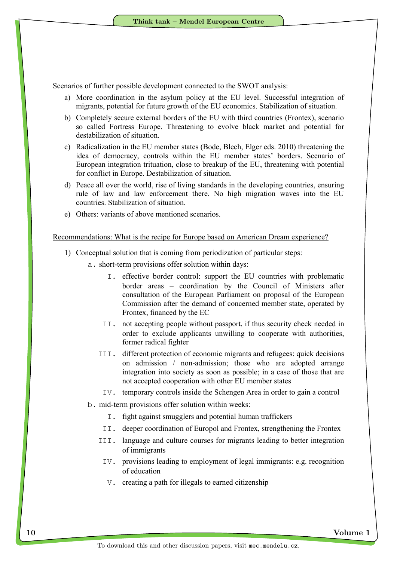Scenarios of further possible development connected to the SWOT analysis:

- a) More coordination in the asylum policy at the EU level. Successful integration of migrants, potential for future growth of the EU economics. Stabilization of situation.
- b) Completely secure external borders of the EU with third countries (Frontex), scenario so called Fortress Europe. Threatening to evolve black market and potential for destabilization of situation.
- c) Radicalization in the EU member states (Bode, Blech, Elger eds. 2010) threatening the idea of democracy, controls within the EU member states' borders. Scenario of European integration trituation, close to breakup of the EU, threatening with potential for conflict in Europe. Destabilization of situation.
- d) Peace all over the world, rise of living standards in the developing countries, ensuring rule of law and law enforcement there. No high migration waves into the EU countries. Stabilization of situation.
- e) Others: variants of above mentioned scenarios.

#### Recommendations: What is the recipe for Europe based on American Dream experience?

- 1) Conceptual solution that is coming from periodization of particular steps:
	- a. short-term provisions offer solution within days:
		- I. effective border control: support the EU countries with problematic border areas – coordination by the Council of Ministers after consultation of the European Parliament on proposal of the European Commission after the demand of concerned member state, operated by Frontex, financed by the EC
		- II. not accepting people without passport, if thus security check needed in order to exclude applicants unwilling to cooperate with authorities, former radical fighter
		- III. different protection of economic migrants and refugees: quick decisions on admission / non-admission; those who are adopted arrange integration into society as soon as possible; in a case of those that are not accepted cooperation with other EU member states
			- IV. temporary controls inside the Schengen Area in order to gain a control
	- b. mid-term provisions offer solution within weeks:
		- I. fight against smugglers and potential human traffickers
		- II. deeper coordination of Europol and Frontex, strengthening the Frontex
		- III. language and culture courses for migrants leading to better integration of immigrants
			- IV. provisions leading to employment of legal immigrants: e.g. recognition of education
				- V. creating a path for illegals to earned citizenship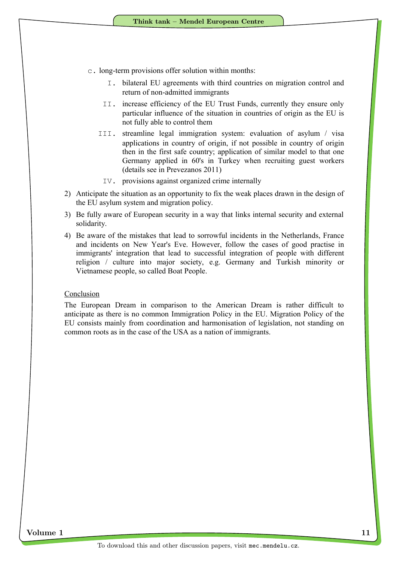- c. long-term provisions offer solution within months:
	- I. bilateral EU agreements with third countries on migration control and return of non-admitted immigrants
	- II. increase efficiency of the EU Trust Funds, currently they ensure only particular influence of the situation in countries of origin as the EU is not fully able to control them
	- III. streamline legal immigration system: evaluation of asylum / visa applications in country of origin, if not possible in country of origin then in the first safe country; application of similar model to that one Germany applied in 60's in Turkey when recruiting guest workers (details see in Prevezanos 2011)
		- IV. provisions against organized crime internally
- 2) Anticipate the situation as an opportunity to fix the weak places drawn in the design of the EU asylum system and migration policy.
- 3) Be fully aware of European security in a way that links internal security and external solidarity.
- 4) Be aware of the mistakes that lead to sorrowful incidents in the Netherlands, France and incidents on New Year's Eve. However, follow the cases of good practise in immigrants' integration that lead to successful integration of people with different religion / culture into major society, e.g. Germany and Turkish minority or Vietnamese people, so called Boat People.

#### Conclusion

The European Dream in comparison to the American Dream is rather difficult to anticipate as there is no common Immigration Policy in the EU. Migration Policy of the EU consists mainly from coordination and harmonisation of legislation, not standing on common roots as in the case of the USA as a nation of immigrants.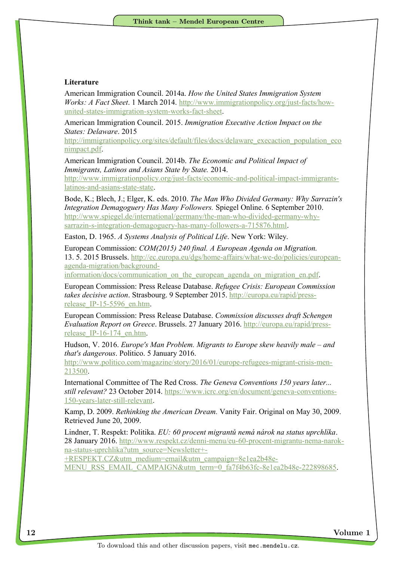#### **Literature**

American Immigration Council. 2014a. *How the United States Immigration System Works: A Fact Sheet*. 1 March 2014. http://www.immigrationpolicy.org/just-facts/howunited-states-immigration-system-works-fact-sheet.

American Immigration Council. 2015. *Immigration Executive Action Impact on the States: Delaware*. 2015

http://immigrationpolicy.org/sites/default/files/docs/delaware\_execaction\_population\_eco nimpact.pdf.

American Immigration Council. 2014b. *The Economic and Political Impact of Immigrants, Latinos and Asians State by State.* 2014.

http://www.immigrationpolicy.org/just-facts/economic-and-political-impact-immigrantslatinos-and-asians-state-state.

Bode, K.; Blech, J.; Elger, K. eds. 2010. *The Man Who Divided Germany: Why Sarrazin's Integration Demagoguery Has Many Followers.* Spiegel Online. 6 September 2010. http://www.spiegel.de/international/germany/the-man-who-divided-germany-whysarrazin-s-integration-demagoguery-has-many-followers-a-715876.html.

Easton, D. 1965. *A Systems Analysis of Political Life*. New York: Wiley.

European Commission: *COM(2015) 240 final. A European Agenda on Migration.* 13. 5. 2015 Brussels. http://ec.europa.eu/dgs/home-affairs/what-we-do/policies/europeanagenda-migration/background-

information/docs/communication\_on\_the\_european\_agenda\_on\_migration\_en.pdf.

European Commission: Press Release Database. *Refugee Crisis: European Commission takes decisive action*. Strasbourg. 9 September 2015. http://europa.eu/rapid/pressrelease IP-15-5596 en.htm.

European Commission: Press Release Database. *Commission discusses draft Schengen Evaluation Report on Greece*. Brussels. 27 January 2016. http://europa.eu/rapid/pressrelease\_IP-16-174\_en.htm.

Hudson, V. 2016. *Europe's Man Problem. Migrants to Europe skew heavily male – and that's dangerous*. Politico. 5 January 2016.

http://www.politico.com/magazine/story/2016/01/europe-refugees-migrant-crisis-men-213500.

International Committee of The Red Cross. *The Geneva Conventions 150 years later... still relevant?* 23 October 2014. https://www.icrc.org/en/document/geneva-conventions-150-years-later-still-relevant.

Kamp, D. 2009. *Rethinking the American Dream.* Vanity Fair. Original on May 30, 2009. Retrieved June 20, 2009.

Lindner, T. Respekt: Politika. *EU: 60 procent migrantů nemá nárok na status uprchlíka*. 28 January 2016. http://www.respekt.cz/denni-menu/eu-60-procent-migrantu-nema-narokna-status-uprchlika?utm\_source=Newsletter+-

+RESPEKT.CZ&utm\_medium=email&utm\_campaign=8e1ea2b48e-MENU RSS\_EMAIL\_CAMPAIGN&utm\_term=0\_fa7f4b63fc-8e1ea2b48e-222898685.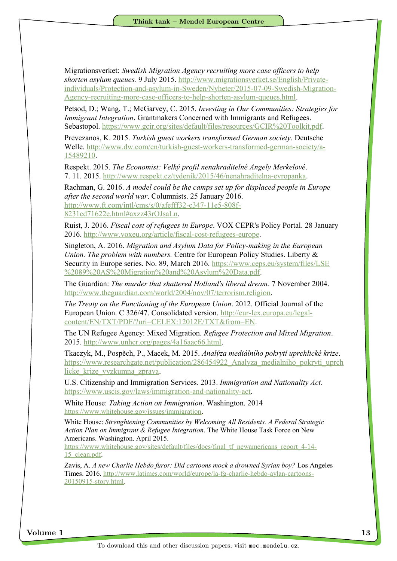Migrationsverket: *Swedish Migration Agency recruiting more case officers to help shorten asylum queues.* 9 July 2015. http://www.migrationsverket.se/English/Privateindividuals/Protection-and-asylum-in-Sweden/Nyheter/2015-07-09-Swedish-Migration-Agency-recruiting-more-case-officers-to-help-shorten-asylum-queues.html.

Petsod, D.; Wang, T.; McGarvey, C. 2015. *Investing in Our Communities: Strategies for Immigrant Integration*. Grantmakers Concerned with Immigrants and Refugees. Sebastopol. https://www.gcir.org/sites/default/files/resources/GCIR%20Toolkit.pdf.

Prevezanos, K. 2015. *Turkish guest workers transformed German society*. Deutsche Welle. http://www.dw.com/en/turkish-guest-workers-transformed-german-society/a-15489210.

Respekt. 2015. *The Economist: Velký profil nenahraditelné Angely Merkelové*. 7. 11. 2015. http://www.respekt.cz/tydenik/2015/46/nenahraditelna-evropanka.

Rachman, G. 2016. *A model could be the camps set up for displaced people in Europe after the second world war*. Columnists. 25 January 2016. http://www.ft.com/intl/cms/s/0/afefff32-c347-11e5-808f-8231cd71622e.html#axzz43rOJsaLn.

Ruist, J. 2016. *Fiscal cost of refugees in Europe*. VOX CEPR's Policy Portal. 28 January 2016. http://www.voxeu.org/article/fiscal-cost-refugees-europe.

Singleton, A. 2016. *Migration and Asylum Data for Policy-making in the European Union. The problem with numbers.* Centre for European Policy Studies. Liberty & Security in Europe series. No. 89, March 2016. https://www.ceps.eu/system/files/LSE %2089%20AS%20Migration%20and%20Asylum%20Data.pdf.

The Guardian: *The murder that shattered Holland's liberal dream*. 7 November 2004. http://www.theguardian.com/world/2004/nov/07/terrorism.religion.

*The Treaty on the Functioning of the European Union*. 2012. Official Journal of the European Union. C 326/47. Consolidated version. http://eur-lex.europa.eu/legalcontent/EN/TXT/PDF/?uri=CELEX:12012E/TXT&from=EN.

The UN Refugee Agency: Mixed Migration. *Refugee Protection and Mixed Migration*. 2015. http://www.unhcr.org/pages/4a16aac66.html.

Tkaczyk, M., Pospěch, P., Macek, M. 2015. *Analýza mediálního pokrytí uprchlické krize*. https://www.researchgate.net/publication/286454922\_Analyza\_medialniho\_pokryti\_uprch licke\_krize\_vyzkumna\_zprava.

U.S. Citizenship and Immigration Services. 2013. *Immigration and Nationality Act*. https://www.uscis.gov/laws/immigration-and-nationality-act.

White House: *Taking Action on Immigration*. Washington. 2014 https://www.whitehouse.gov/issues/immigration.

White House: *Strenghtening Communities by Welcoming All Residents. A Federal Strategic Action Plan on Immigrant & Refugee Integration*. The White House Task Force on New Americans. Washington. April 2015.

https://www.whitehouse.gov/sites/default/files/docs/final\_tf\_newamericans\_report\_4-14- 15\_clean.pdf.

Zavis, A. *A new Charlie Hebdo furor: Did cartoons mock a drowned Syrian boy?* Los Angeles Times. 2016. http://www.latimes.com/world/europe/la-fg-charlie-hebdo-aylan-cartoons-20150915-story.html.

Volume 1 13